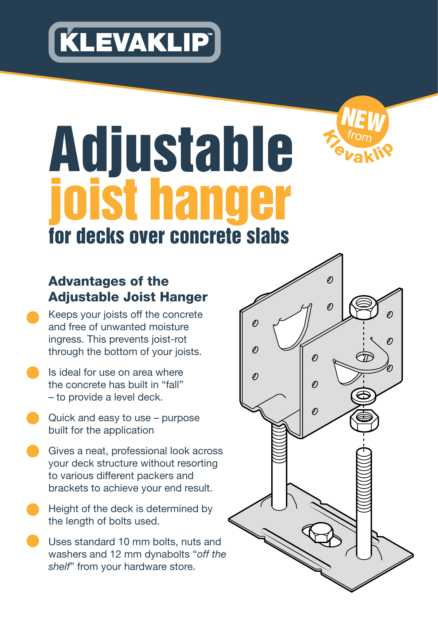



# Adjustable joist hanger for decks over concrete slabs

## Advantages of the Adjustable Joist Hanger

- Keeps your joists off the concrete and free of unwanted moisture ingress. This prevents joist-rot through the bottom of your joists.
- Is ideal for use on area where the concrete has built in "fall" – to provide a level deck.
- Quick and easy to use purpose built for the application
- Gives a neat, professional look across your deck structure without resorting to various different packers and brackets to achieve your end result.
- Height of the deck is determined by the length of bolts used.
- Uses standard 10 mm bolts, nuts and washers and 12 mm dynabolts "*off the shelf*" from your hardware store.